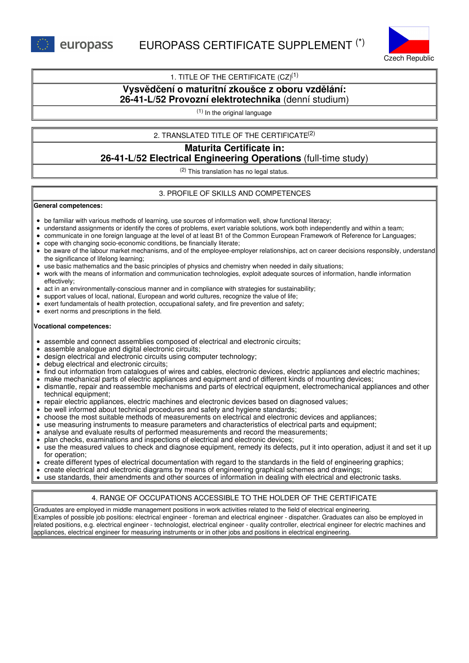

## 1. TITLE OF THE CERTIFICATE  $(CZ)^{(1)}$

# **Vysvědčení o maturitní zkoušce z oboru vzdělání: 26-41-L/52 Provozní elektrotechnika** (denní studium)

(1) In the original language

## 2. TRANSLATED TITLE OF THE CERTIFICATE (2)

# **Maturita Certificate in: 26-41-L/52 Electrical Engineering Operations** (full-time study)

(2) This translation has no legal status.

## 3. PROFILE OF SKILLS AND COMPETENCES

#### **General competences:**

- be familiar with various methods of learning, use sources of information well, show functional literacy;
- understand assignments or identify the cores of problems, exert variable solutions, work both independently and within a team;
- communicate in one foreign language at the level of at least B1 of the Common European Framework of Reference for Languages;
- cope with changing socio-economic conditions, be financially literate;
- be aware of the labour market mechanisms, and of the employee-employer relationships, act on career decisions responsibly, understand the significance of lifelong learning;
- use basic mathematics and the basic principles of physics and chemistry when needed in daily situations;
- work with the means of information and communication technologies, exploit adequate sources of information, handle information effectively;
- act in an environmentally-conscious manner and in compliance with strategies for sustainability;  $\bullet$
- support values of local, national, European and world cultures, recognize the value of life;
- exert fundamentals of health protection, occupational safety, and fire prevention and safety;
- exert norms and prescriptions in the field.

### **Vocational competences:**

- assemble and connect assemblies composed of electrical and electronic circuits;
- assemble analogue and digital electronic circuits;
- design electrical and electronic circuits using computer technology;
- debug electrical and electronic circuits;
- find out information from catalogues of wires and cables, electronic devices, electric appliances and electric machines;
- make mechanical parts of electric appliances and equipment and of different kinds of mounting devices;
- dismantle, repair and reassemble mechanisms and parts of electrical equipment, electromechanical appliances and other technical equipment;
- repair electric appliances, electric machines and electronic devices based on diagnosed values;
- be well informed about technical procedures and safety and hygiene standards;
- choose the most suitable methods of measurements on electrical and electronic devices and appliances;
- use measuring instruments to measure parameters and characteristics of electrical parts and equipment;
- analyse and evaluate results of performed measurements and record the measurements;
- plan checks, examinations and inspections of electrical and electronic devices;
- use the measured values to check and diagnose equipment, remedy its defects, put it into operation, adjust it and set it up for operation;
- create different types of electrical documentation with regard to the standards in the field of engineering graphics;
- create electrical and electronic diagrams by means of engineering graphical schemes and drawings;
- use standards, their amendments and other sources of information in dealing with electrical and electronic tasks.

# 4. RANGE OF OCCUPATIONS ACCESSIBLE TO THE HOLDER OF THE CERTIFICATE

Graduates are employed in middle management positions in work activities related to the field of electrical engineering. Examples of possible job positions: electrical engineer - foreman and electrical engineer - dispatcher. Graduates can also be employed in related positions, e.g. electrical engineer - technologist, electrical engineer - quality controller, electrical engineer for electric machines and appliances, electrical engineer for measuring instruments or in other jobs and positions in electrical engineering.